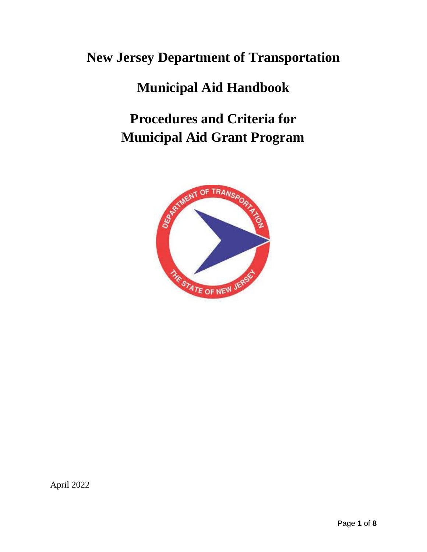# **New Jersey Department of Transportation**

# **Municipal Aid Handbook**

# **Procedures and Criteria for Municipal Aid Grant Program**



April 2022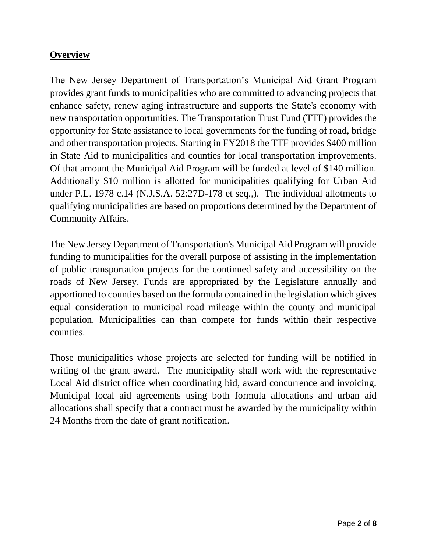### **Overview**

The New Jersey Department of Transportation's Municipal Aid Grant Program provides grant funds to municipalities who are committed to advancing projects that enhance safety, renew aging infrastructure and supports the State's economy with new transportation opportunities. The Transportation Trust Fund (TTF) provides the opportunity for State assistance to local governments for the funding of road, bridge and other transportation projects. Starting in FY2018 the TTF provides \$400 million in State Aid to municipalities and counties for local transportation improvements. Of that amount the Municipal Aid Program will be funded at level of \$140 million. Additionally \$10 million is allotted for municipalities qualifying for Urban Aid under P.L. 1978 c.14 (N.J.S.A. 52:27D-178 et seq.,). The individual allotments to qualifying municipalities are based on proportions determined by the Department of Community Affairs.

The New Jersey Department of Transportation's Municipal Aid Program will provide funding to municipalities for the overall purpose of assisting in the implementation of public transportation projects for the continued safety and accessibility on the roads of New Jersey. Funds are appropriated by the Legislature annually and apportioned to counties based on the formula contained in the legislation which gives equal consideration to municipal road mileage within the county and municipal population. Municipalities can than compete for funds within their respective counties.

Those municipalities whose projects are selected for funding will be notified in writing of the grant award. The municipality shall work with the representative Local Aid district office when coordinating bid, award concurrence and invoicing. Municipal local aid agreements using both formula allocations and urban aid allocations shall specify that a contract must be awarded by the municipality within 24 Months from the date of grant notification.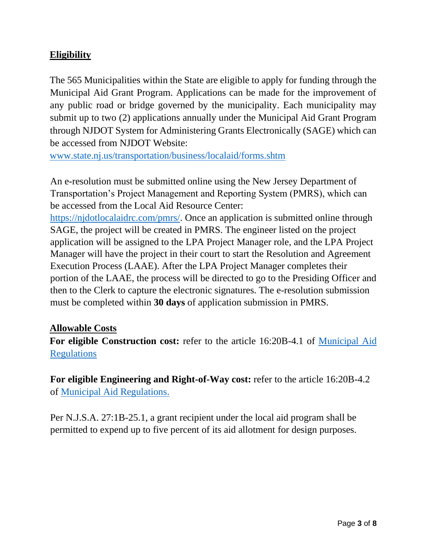## **Eligibility**

The 565 Municipalities within the State are eligible to apply for funding through the Municipal Aid Grant Program. Applications can be made for the improvement of any public road or bridge governed by the municipality. Each municipality may submit up to two (2) applications annually under the Municipal Aid Grant Program through NJDOT System for Administering Grants Electronically (SAGE) which can be accessed from NJDOT Website:

[www.state.nj.us/transportation/business/localaid/forms.shtm](https://www.state.nj.us/transportation/business/localaid/sage.shtm)

An e-resolution must be submitted online using the New Jersey Department of Transportation's Project Management and Reporting System (PMRS), which can be accessed from the Local Aid Resource Center:

[https://njdotlocalaidrc.com/pmrs/.](https://njdotlocalaidrc.com/pmrs/) Once an application is submitted online through SAGE, the project will be created in PMRS. The engineer listed on the project application will be assigned to the LPA Project Manager role, and the LPA Project Manager will have the project in their court to start the Resolution and Agreement Execution Process (LAAE). After the LPA Project Manager completes their portion of the LAAE, the process will be directed to go to the Presiding Officer and then to the Clerk to capture the electronic signatures. The e-resolution submission must be completed within **30 days** of application submission in PMRS.

#### **Allowable Costs**

**For eligible Construction cost:** refer to the article 16:20B-4.1 of [Municipal Aid](https://www.state.nj.us/transportation/contribute/business/localaid/documents/16-20B-Current.pdf)  **[Regulations](https://www.state.nj.us/transportation/contribute/business/localaid/documents/16-20B-Current.pdf)** 

**For eligible Engineering and Right-of-Way cost:** refer to the article 16:20B-4.2 of [Municipal Aid Regulations.](https://www.state.nj.us/transportation/contribute/business/localaid/documents/16-20B-Current.pdf)

Per N.J.S.A. 27:1B-25.1, a grant recipient under the local aid program shall be permitted to expend up to five percent of its aid allotment for design purposes.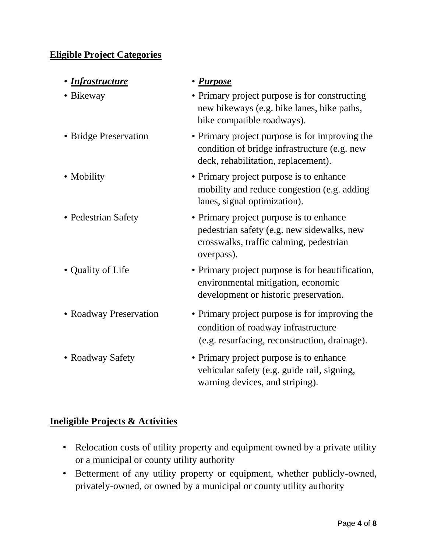### **Eligible Project Categories**

| • <u>Infrastructure</u> | • Purpose                                                                                                                                      |
|-------------------------|------------------------------------------------------------------------------------------------------------------------------------------------|
| • Bikeway               | • Primary project purpose is for constructing<br>new bikeways (e.g. bike lanes, bike paths,<br>bike compatible roadways).                      |
| · Bridge Preservation   | • Primary project purpose is for improving the<br>condition of bridge infrastructure (e.g. new<br>deck, rehabilitation, replacement).          |
| • Mobility              | • Primary project purpose is to enhance<br>mobility and reduce congestion (e.g. adding<br>lanes, signal optimization).                         |
| • Pedestrian Safety     | • Primary project purpose is to enhance<br>pedestrian safety (e.g. new sidewalks, new<br>crosswalks, traffic calming, pedestrian<br>overpass). |
| • Quality of Life       | • Primary project purpose is for beautification,<br>environmental mitigation, economic<br>development or historic preservation.                |
| • Roadway Preservation  | • Primary project purpose is for improving the<br>condition of roadway infrastructure<br>(e.g. resurfacing, reconstruction, drainage).         |
| • Roadway Safety        | • Primary project purpose is to enhance<br>vehicular safety (e.g. guide rail, signing,<br>warning devices, and striping).                      |

## **Ineligible Projects & Activities**

- Relocation costs of utility property and equipment owned by a private utility or a municipal or county utility authority
- Betterment of any utility property or equipment, whether publicly-owned, privately-owned, or owned by a municipal or county utility authority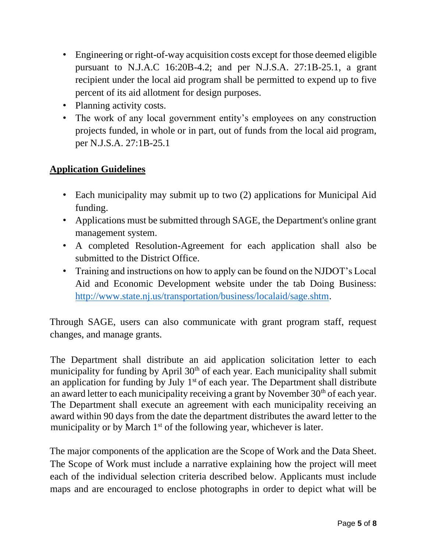- Engineering or right-of-way acquisition costs except for those deemed eligible pursuant to N.J.A.C 16:20B-4.2; and per N.J.S.A. 27:1B-25.1, a grant recipient under the local aid program shall be permitted to expend up to five percent of its aid allotment for design purposes.
- Planning activity costs.
- The work of any local government entity's employees on any construction projects funded, in whole or in part, out of funds from the local aid program, per N.J.S.A. 27:1B-25.1

#### **Application Guidelines**

- Each municipality may submit up to two (2) applications for Municipal Aid funding.
- Applications must be submitted through SAGE, the Department's online grant management system.
- A completed Resolution-Agreement for each application shall also be submitted to the District Office.
- Training and instructions on how to apply can be found on the NJDOT's Local Aid and Economic Development website under the tab Doing Business: [http://www.state.nj.us/transportation/business/localaid/sage.shtm.](http://www.state.nj.us/transportation/business/localaid/sage.shtm)

Through SAGE, users can also communicate with grant program staff, request changes, and manage grants.

The Department shall distribute an aid application solicitation letter to each municipality for funding by April 30<sup>th</sup> of each year. Each municipality shall submit an application for funding by July  $1<sup>st</sup>$  of each year. The Department shall distribute an award letter to each municipality receiving a grant by November  $30<sup>th</sup>$  of each year. The Department shall execute an agreement with each municipality receiving an award within 90 days from the date the department distributes the award letter to the municipality or by March  $1<sup>st</sup>$  of the following year, whichever is later.

The major components of the application are the Scope of Work and the Data Sheet. The Scope of Work must include a narrative explaining how the project will meet each of the individual selection criteria described below. Applicants must include maps and are encouraged to enclose photographs in order to depict what will be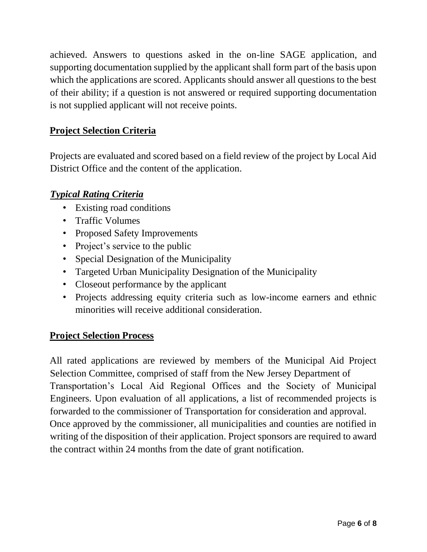achieved. Answers to questions asked in the on-line SAGE application, and supporting documentation supplied by the applicant shall form part of the basis upon which the applications are scored. Applicants should answer all questions to the best of their ability; if a question is not answered or required supporting documentation is not supplied applicant will not receive points.

### **Project Selection Criteria**

Projects are evaluated and scored based on a field review of the project by Local Aid District Office and the content of the application.

#### *Typical Rating Criteria*

- Existing road conditions
- Traffic Volumes
- Proposed Safety Improvements
- Project's service to the public
- Special Designation of the Municipality
- Targeted Urban Municipality Designation of the Municipality
- Closeout performance by the applicant
- Projects addressing equity criteria such as low-income earners and ethnic minorities will receive additional consideration.

#### **Project Selection Process**

All rated applications are reviewed by members of the Municipal Aid Project Selection Committee, comprised of staff from the New Jersey Department of Transportation's Local Aid Regional Offices and the Society of Municipal Engineers. Upon evaluation of all applications, a list of recommended projects is forwarded to the commissioner of Transportation for consideration and approval. Once approved by the commissioner, all municipalities and counties are notified in writing of the disposition of their application. Project sponsors are required to award the contract within 24 months from the date of grant notification.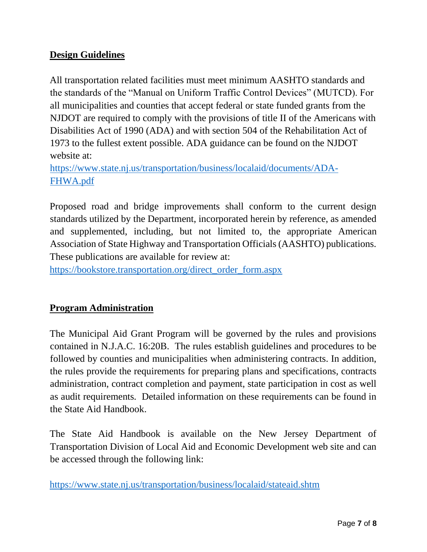## **Design Guidelines**

All transportation related facilities must meet minimum AASHTO standards and the standards of the "Manual on Uniform Traffic Control Devices" (MUTCD). For all municipalities and counties that accept federal or state funded grants from the NJDOT are required to comply with the provisions of title II of the Americans with Disabilities Act of 1990 (ADA) and with section 504 of the Rehabilitation Act of 1973 to the fullest extent possible. ADA guidance can be found on the NJDOT website at:

[https://www.state.nj.us/transportation/business/localaid/documents/ADA-](https://www.state.nj.us/transportation/business/localaid/documents/ADA-FHWA.pdf)[FHWA.pdf](https://www.state.nj.us/transportation/business/localaid/documents/ADA-FHWA.pdf)

Proposed road and bridge improvements shall conform to the current design standards utilized by the Department, incorporated herein by reference, as amended and supplemented, including, but not limited to, the appropriate American Association of State Highway and Transportation Officials (AASHTO) publications. These publications are available for review at:

[https://bookstore.transportation.org/direct\\_order\\_form.aspx](https://bookstore.transportation.org/direct_order_form.aspx)

#### **Program Administration**

The Municipal Aid Grant Program will be governed by the rules and provisions contained in N.J.A.C. 16:20B. The rules establish guidelines and procedures to be followed by counties and municipalities when administering contracts. In addition, the rules provide the requirements for preparing plans and specifications, contracts administration, contract completion and payment, state participation in cost as well as audit requirements. Detailed information on these requirements can be found in the State Aid Handbook.

The State Aid Handbook is available on the New Jersey Department of Transportation Division of Local Aid and Economic Development web site and can be accessed through the following link:

<https://www.state.nj.us/transportation/business/localaid/stateaid.shtm>